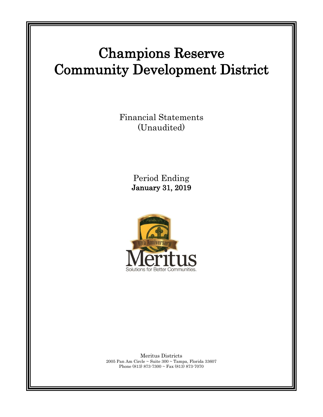# Champions Reserve Community Development District

Financial Statements (Unaudited)

> Period Ending January 31, 2019



Meritus Districts 2005 Pan Am Circle ~ Suite 300 ~ Tampa, Florida 33607 Phone (813) 873-7300 ~ Fax (813) 873-7070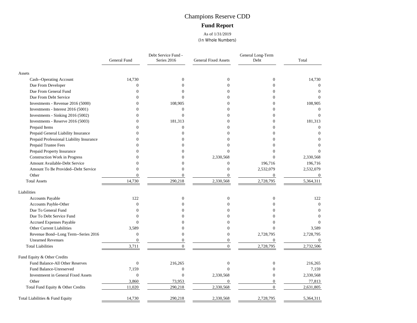## Champions Reserve CDD **Fund Report**

As of 1/31/2019 (In Whole Numbers)

|                                            | <b>General Fund</b> | Debt Service Fund -<br>Series 2016 | <b>General Fixed Assets</b> | General Long-Term<br>Debt | Total            |
|--------------------------------------------|---------------------|------------------------------------|-----------------------------|---------------------------|------------------|
| Assets                                     |                     |                                    |                             |                           |                  |
| Cash--Operating Account                    | 14,730              | $\theta$                           | $\Omega$                    | $\Omega$                  | 14.730           |
| Due From Developer                         | $\overline{0}$      | $\Omega$                           | $\Omega$                    | $\Omega$                  | $\theta$         |
| Due From General Fund                      | $\Omega$            | 0                                  | $\Omega$                    | $\Omega$                  | $\Omega$         |
| Due From Debt Service                      | $\theta$            | $\Omega$                           | $\Omega$                    | $\Omega$                  | $\Omega$         |
| Investments - Revenue 2016 (5000)          | $\theta$            | 108,905                            | $\Omega$                    | $\Omega$                  | 108,905          |
| Investments - Interest 2016 (5001)         | $\theta$            | $\theta$                           | $\Omega$                    | $\Omega$                  | $\Omega$         |
| Investments - Sinking 2016 (5002)          | $\overline{0}$      | $\mathbf{0}$                       | $\theta$                    | $\overline{0}$            | $\Omega$         |
| Investments - Reserve 2016 (5003)          | $\theta$            | 181,313                            |                             | $\Omega$                  | 181,313          |
| Prepaid Items                              | $\Omega$            | $\theta$                           | $\Omega$                    | $\Omega$                  | $\Omega$         |
| Prepaid General Liability Insurance        | $\Omega$            | $\Omega$                           | $\Omega$                    | $\Omega$                  | $\Omega$         |
| Prepaid Professional Liability Insurance   | $\Omega$            | $\Omega$                           | $\Omega$                    | $\Omega$                  | $\Omega$         |
| Prepaid Trustee Fees                       | $\Omega$            | 0                                  | $\Omega$                    | $\Omega$                  | $\Omega$         |
| Prepaid Property Insurance                 | $\Omega$            | 0                                  | $\Omega$                    | 0                         | $\Omega$         |
| <b>Construction Work in Progress</b>       | $\Omega$            | 0                                  | 2,330,568                   | $\Omega$                  | 2,330,568        |
| Amount Available-Debt Service              | $\Omega$            | $\Omega$                           | $\Omega$                    | 196,716                   | 196,716          |
| Amount To Be Provided--Debt Service        | $\overline{0}$      | $\theta$                           | $\mathbf{0}$                | 2,532,079                 | 2,532,079        |
| Other                                      | $\mathbf{0}$        | $\boldsymbol{0}$                   | $\boldsymbol{0}$            | $\boldsymbol{0}$          | $\boldsymbol{0}$ |
| <b>Total Assets</b>                        | 14,730              | 290,218                            | 2,330,568                   | 2,728,795                 | 5,364,311        |
| Liabilities                                |                     |                                    |                             |                           |                  |
| Accounts Payable                           | 122                 | $\boldsymbol{0}$                   | $\mathbf{0}$                | $\boldsymbol{0}$          | 122              |
| Accounts Payble-Other                      | $\overline{0}$      | 0                                  | $\Omega$                    | $\Omega$                  | $\mathbf{0}$     |
| Due To General Fund                        | $\theta$            | 0                                  | ∩                           | 0                         | $\Omega$         |
| Due To Debt Service Fund                   | $\Omega$            | Ω                                  | $\Omega$                    | 0                         | $\Omega$         |
| Accrued Expenses Payable                   | $\theta$            | 0                                  | $\Omega$                    | $\theta$                  | $\Omega$         |
| Other Current Liabilities                  | 3,589               |                                    | $\Omega$                    | $\Omega$                  | 3,589            |
| Revenue Bond--Long Term--Series 2016       | $\boldsymbol{0}$    | $\theta$                           | $\theta$                    | 2,728,795                 | 2,728,795        |
| <b>Unearned Revenues</b>                   | $\boldsymbol{0}$    | $\overline{0}$                     | $\overline{0}$              | $\overline{0}$            | $\theta$         |
| <b>Total Liabilities</b>                   | 3,711               | $\Omega$                           | $\Omega$                    | 2,728,795                 | 2,732,506        |
| Fund Equity & Other Credits                |                     |                                    |                             |                           |                  |
| Fund Balance-All Other Reserves            | $\boldsymbol{0}$    | 216,265                            | $\Omega$                    | $\mathbf{0}$              | 216,265          |
| Fund Balance-Unreserved                    | 7,159               | $\boldsymbol{0}$                   | $\Omega$                    | $\Omega$                  | 7,159            |
| <b>Investmeent in General Fixed Assets</b> | $\boldsymbol{0}$    | $\mathbf{0}$                       | 2,330,568                   | $\overline{0}$            | 2,330,568        |
| Other                                      | 3,860               | 73,953                             | $\mathbf{0}$                | $\Omega$                  | 77,813           |
| Total Fund Equity & Other Credits          | 11,020              | 290,218                            | 2,330,568                   | $\Omega$                  | 2,631,805        |
| Total Liabilities & Fund Equity            | 14,730              | 290,218                            | 2,330,568                   | 2,728,795                 | 5,364,311        |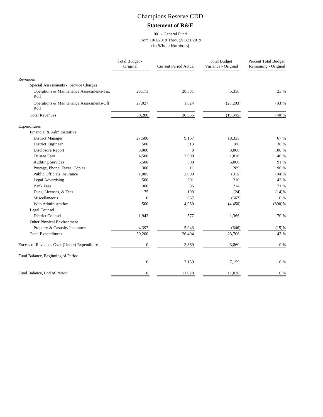## Champions Reserve CDD

### **Statement of R&E**

#### 001 - General Fund From 10/1/2018 Through 1/31/2019 (In Whole Numbers)

|                                                  | Total Budget -<br>Original | <b>Current Period Actual</b> | <b>Total Budget</b><br>Variance - Original | Percent Total Budget<br>Remaining - Original |
|--------------------------------------------------|----------------------------|------------------------------|--------------------------------------------|----------------------------------------------|
| Revenues                                         |                            |                              |                                            |                                              |
| Special Assessments - Service Charges            |                            |                              |                                            |                                              |
| Operations & Maintenance Assessments-Tax<br>Roll | 23,173                     | 28,531                       | 5,358                                      | 23 %                                         |
| Operations & Maintenance Assessments-Off<br>Roll | 27,027                     | 1,824                        | (25,203)                                   | (93)%                                        |
| <b>Total Revenues</b>                            | 50,200                     | 30,355                       | (19, 845)                                  | (40)%                                        |
| Expenditures                                     |                            |                              |                                            |                                              |
| Financial & Administrative                       |                            |                              |                                            |                                              |
| District Manager                                 | 27,500                     | 9,167                        | 18,333                                     | 67 %                                         |
| District Engineer                                | 500                        | 313                          | 188                                        | 38 %                                         |
| Disclosure Report                                | 3,000                      | $\Omega$                     | 3,000                                      | 100 %                                        |
| <b>Trustee Fees</b>                              | 4,500                      | 2,690                        | 1,810                                      | 40 %                                         |
| <b>Auditing Services</b>                         | 5,500                      | 500                          | 5,000                                      | 91 %                                         |
| Postage, Phone, Faxes, Copies                    | 300                        | 11                           | 289                                        | 96 %                                         |
| Public Officials Insurance                       | 1,085                      | 2,000                        | (915)                                      | (84)%                                        |
| <b>Legal Advertising</b>                         | 500                        | 291                          | 210                                        | 42 %                                         |
| <b>Bank Fees</b>                                 | 300                        | 86                           | 214                                        | 71 %                                         |
| Dues, Licenses, & Fees                           | 175                        | 199                          | (24)                                       | (14)%                                        |
| Miscellaneous                                    | $\mathbf{0}$               | 667                          | (667)                                      | $0\%$                                        |
| Web Administration                               | 500                        | 4,950                        | (4, 450)                                   | $(890)$ %                                    |
| Legal Counsel                                    |                            |                              |                                            |                                              |
| <b>District Counsel</b>                          | 1,943                      | 577                          | 1,366                                      | 70 %                                         |
| Other Physical Environment                       |                            |                              |                                            |                                              |
| Property & Casualty Insurance                    | 4,397                      | 5,043                        | (646)                                      | (15)%                                        |
| <b>Total Expenditures</b>                        | 50,200                     | 26,494                       | 23,706                                     | 47 %                                         |
| Excess of Revenues Over (Under) Expenditures     | $\boldsymbol{0}$           | 3,860                        | 3,860                                      | $0\%$                                        |
| Fund Balance, Beginning of Period                |                            |                              |                                            |                                              |
|                                                  | $\boldsymbol{0}$           | 7,159                        | 7,159                                      | $0\%$                                        |
| Fund Balance, End of Period                      | $\mathbf{0}$               | 11,020                       | 11,020                                     | $0\%$                                        |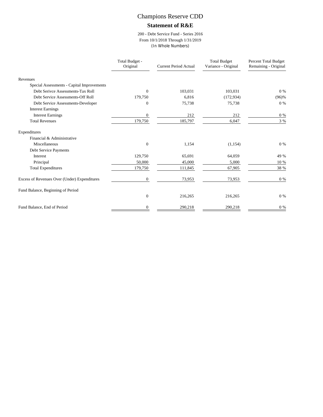## Champions Reserve CDD

#### **Statement of R&E**

#### 200 - Debt Service Fund - Series 2016 From 10/1/2018 Through 1/31/2019 (In Whole Numbers)

|                                              | Total Budget -<br>Original | <b>Current Period Actual</b> | <b>Total Budget</b><br>Variance - Original | Percent Total Budget<br>Remaining - Original |
|----------------------------------------------|----------------------------|------------------------------|--------------------------------------------|----------------------------------------------|
| Revenues                                     |                            |                              |                                            |                                              |
| Special Assessments - Capital Improvements   |                            |                              |                                            |                                              |
| Debt Serivce Assessments-Tax Roll            | $\overline{0}$             | 103,031                      | 103,031                                    | 0 %                                          |
| Debt Service Assessments-Off Roll            | 179,750                    | 6,816                        | (172, 934)                                 | $(96)$ %                                     |
| Debt Service Assessments-Developer           | 0                          | 75,738                       | 75,738                                     | $0\%$                                        |
| <b>Interest Earnings</b>                     |                            |                              |                                            |                                              |
| <b>Interest Earnings</b>                     | 0                          | 212                          | 212                                        | $0\%$                                        |
| <b>Total Revenues</b>                        | 179,750                    | 185,797                      | 6,047                                      | 3 %                                          |
| Expenditures                                 |                            |                              |                                            |                                              |
| Financial & Administrative                   |                            |                              |                                            |                                              |
| Miscellaneous                                | $\overline{0}$             | 1,154                        | (1, 154)                                   | $0\%$                                        |
| Debt Service Payments                        |                            |                              |                                            |                                              |
| Interest                                     | 129,750                    | 65,691                       | 64,059                                     | 49 %                                         |
| Principal                                    | 50,000                     | 45,000                       | 5,000                                      | 10 %                                         |
| <b>Total Expenditures</b>                    | 179,750                    | 111,845                      | 67,905                                     | 38 %                                         |
| Excess of Revenues Over (Under) Expenditures | $\overline{0}$             | 73,953                       | 73,953                                     | 0 %                                          |
| Fund Balance, Beginning of Period            |                            |                              |                                            |                                              |
|                                              | $\mathbf{0}$               | 216,265                      | 216,265                                    | 0 %                                          |
| Fund Balance, End of Period                  | $\overline{0}$             | 290,218                      | 290,218                                    | $0\%$                                        |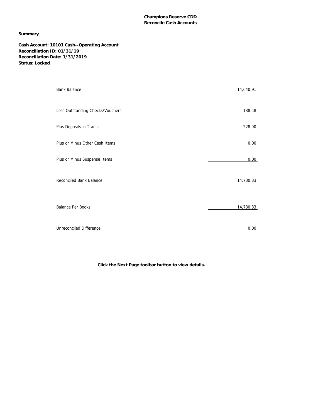#### **Summary**

**Cash Account: 10101 Cash--Operating Account Reconciliation ID: 01/31/19 Reconciliation Date: 1/31/2019 Status: Locked**

| <b>Bank Balance</b>              | 14,640.91 |
|----------------------------------|-----------|
| Less Outstanding Checks/Vouchers | 138.58    |
| Plus Deposits in Transit         | 228.00    |
| Plus or Minus Other Cash Items   | 0.00      |
| Plus or Minus Suspense Items     | 0.00      |
| Reconciled Bank Balance          | 14,730.33 |
| <b>Balance Per Books</b>         | 14,730.33 |
| Unreconciled Difference          | 0.00      |

**Click the Next Page toolbar button to view details.**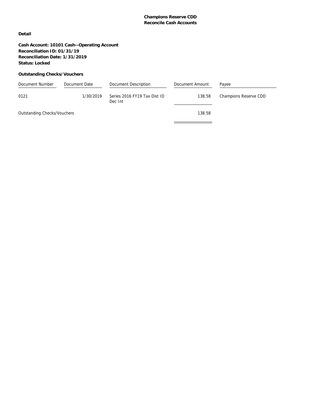**Detail**

**Cash Account: 10101 Cash--Operating Account Reconciliation ID: 01/31/19 Reconciliation Date: 1/31/2019 Status: Locked**

#### **Outstanding Checks/Vouchers**

| Document Number             | Document Date | Document Description                    | Document Amount | Payee                 |
|-----------------------------|---------------|-----------------------------------------|-----------------|-----------------------|
| 0121                        | 1/30/2019     | Series 2016 FY19 Tax Dist ID<br>Dec Int | 138.58          | Champions Reserve CDD |
| Outstanding Checks/Vouchers |               |                                         | 138.58          |                       |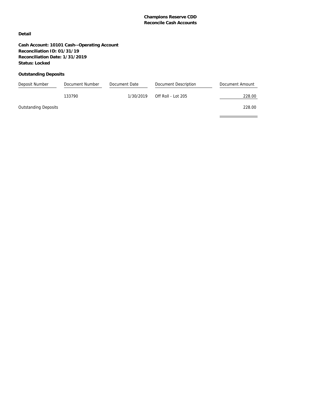$\equiv$ 

#### **Detail**

**Cash Account: 10101 Cash--Operating Account Reconciliation ID: 01/31/19 Reconciliation Date: 1/31/2019 Status: Locked**

#### **Outstanding Deposits**

| Deposit Number              | Document Number | Document Date | Document Description | Document Amount |
|-----------------------------|-----------------|---------------|----------------------|-----------------|
|                             | 133790          | 1/30/2019     | Off Roll - Lot $205$ | 228.00          |
| <b>Outstanding Deposits</b> |                 |               |                      | 228.00          |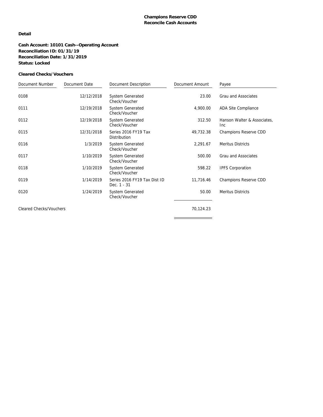#### **Detail**

**Cash Account: 10101 Cash--Operating Account Reconciliation ID: 01/31/19 Reconciliation Date: 1/31/2019 Status: Locked**

#### **Cleared Checks/Vouchers**

| Document Number                | Document Date | Document Description                        | Document Amount | Payee                                         |
|--------------------------------|---------------|---------------------------------------------|-----------------|-----------------------------------------------|
| 0108                           | 12/12/2018    | <b>System Generated</b><br>Check/Voucher    | 23.00           | Grau and Associates                           |
| 0111                           | 12/19/2018    | <b>System Generated</b><br>Check/Voucher    | 4,900.00        | ADA Site Compliance                           |
| 0112                           | 12/19/2018    | <b>System Generated</b><br>Check/Voucher    | 312.50          | Hanson Walter & Associates,<br><sub>Inc</sub> |
| 0115                           | 12/31/2018    | Series 2016 FY19 Tax<br>Distribution        | 49,732.38       | Champions Reserve CDD                         |
| 0116                           | 1/3/2019      | <b>System Generated</b><br>Check/Voucher    | 2,291.67        | Meritus Districts                             |
| 0117                           | 1/10/2019     | <b>System Generated</b><br>Check/Voucher    | 500.00          | Grau and Associates                           |
| 0118                           | 1/10/2019     | <b>System Generated</b><br>Check/Voucher    | 598.22          | <b>IPFS Corporation</b>                       |
| 0119                           | 1/14/2019     | Series 2016 FY19 Tax Dist ID<br>Dec. 1 - 31 | 11,716.46       | Champions Reserve CDD                         |
| 0120                           | 1/24/2019     | <b>System Generated</b><br>Check/Voucher    | 50.00           | Meritus Districts                             |
| <b>Cleared Checks/Vouchers</b> |               |                                             | 70,124.23       |                                               |
|                                |               |                                             |                 |                                               |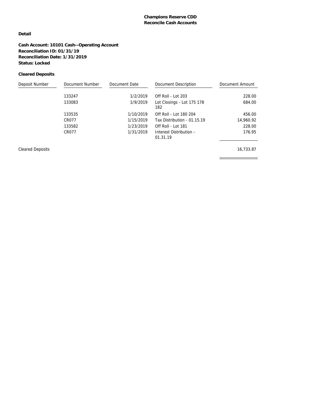#### **Detail**

**Cash Account: 10101 Cash--Operating Account Reconciliation ID: 01/31/19 Reconciliation Date: 1/31/2019 Status: Locked**

#### **Cleared Deposits**

| Deposit Number | Document Number | Document Date | Document Description                | Document Amount |
|----------------|-----------------|---------------|-------------------------------------|-----------------|
|                | 133247          | 1/2/2019      | Off Roll - Lot 203                  | 228.00          |
|                | 133083          | 1/9/2019      | Lot Closings - Lot 175 178<br>182   | 684.00          |
|                | 133535          | 1/10/2019     | Off Roll - Lot 180 204              | 456.00          |
|                | CR077           | 1/15/2019     | Tax Distribution - 01.15.19         | 14,960.92       |
|                | 133582          | 1/23/2019     | Off Roll - Lot 181                  | 228.00          |
|                | CR077           | 1/31/2019     | Interest Distribution -<br>01.31.19 | 176.95          |
|                |                 |               |                                     |                 |

Cleared Deposits 16,733.87

<u> 1989 - Johann Barnett, fransk politiker (</u>

 $\equiv$